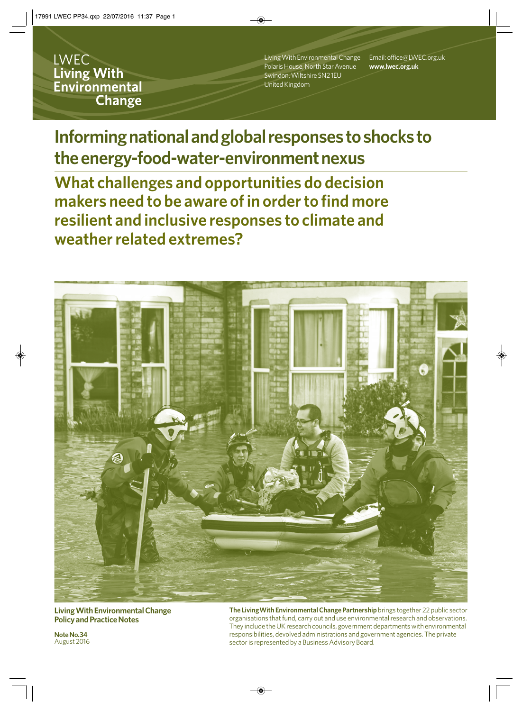**LWEC Living With** Environmental **Change** 

Living With Environmental Change Polaris House, North Star Avenue Swindon, Wiltshire SN2 1EU United Kingdom

Email: office@LWEC.org.uk **www.lwec.org.uk**

**Informing national and global responses to shocks to the energy-food-water-environment nexus**

**What challenges and opportunities do decision makers need to be aware of in order to find more resilient and inclusive responses to climate and weather related extremes?**



**Living With Environmental Change Policy and Practice Notes**

**Note No.34** August 2016 **The LivingWith Environmental Change Partnership** brings together 22 public sector organisations that fund, carry out and use environmental research and observations. They include the UK research councils, government departments with environmental responsibilities, devolved administrations and government agencies. The private sector is represented by a Business Advisory Board.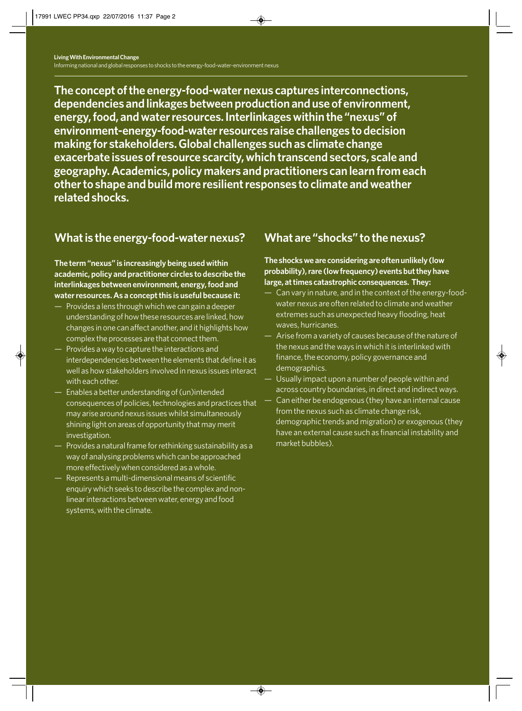**The concept of the energy-food-water nexus captures interconnections, dependencies and linkages between production and use of environment, energy, food, and water resources. Interlinkages within the "nexus" of environment-energy-food-water resources raise challenges to decision making for stakeholders. Global challenges such as climate change exacerbate issues of resource scarcity, which transcend sectors, scale and geography. Academics, policy makers and practitioners can learn from each other to shape and build more resilient responses to climate and weather related shocks.**

## **What is the energy-food-water nexus?**

**The term "nexus" is increasingly being used within academic, policy and practitioner circles to describe the interlinkages between environment, energy, food and water resources. As a concept this is useful because it:**

- Provides a lens through which we can gain a deeper understanding of how these resources are linked, how changes in one can affect another, and it highlights how complex the processes are that connect them.
- Provides a way to capture the interactions and interdependencies between the elements that define it as well as how stakeholders involved in nexus issues interact with each other.
- Enables a better understanding of (un)intended consequences of policies, technologies and practices that may arise around nexus issues whilst simultaneously shining light on areas of opportunity that may merit investigation.
- Provides a natural frame for rethinking sustainability as a way of analysing problems which can be approached more effectively when considered as a whole.
- Represents a multi-dimensional means of scientific enquiry which seeks to describe the complex and nonlinear interactions between water, energy and food systems, with the climate.

# **What are "shocks" to the nexus?**

### **The shocks we are considering are often unlikely (low probability), rare (low frequency) events but they have large, at times catastrophic consequences. They:**

- Can vary in nature, and in the context of the energy-foodwater nexus are often related to climate and weather extremes such as unexpected heavy flooding, heat waves, hurricanes.
- Arise from a variety of causes because of the nature of the nexus and the ways in which it is interlinked with finance, the economy, policy governance and demographics.
- Usually impact upon a number of people within and across country boundaries, in direct and indirect ways.
- Can either be endogenous (they have an internal cause from the nexus such as climate change risk, demographic trends and migration) or exogenous (they have an external cause such as financial instability and market bubbles).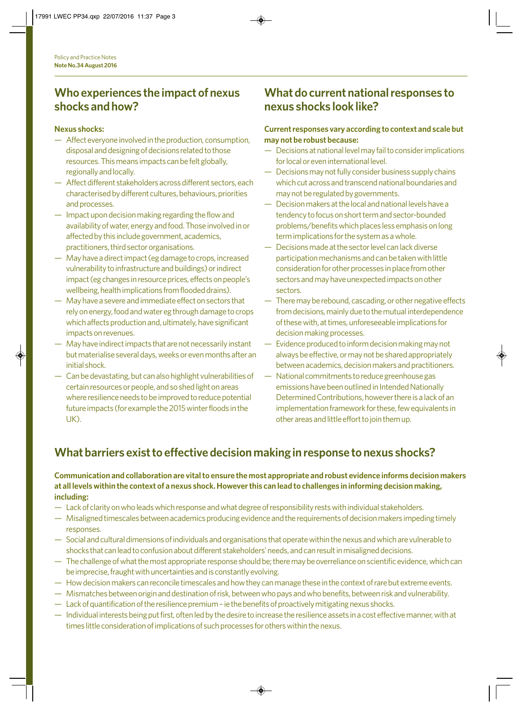### **Who experiences the impact of nexus shocks and how?**

#### **Nexus shocks:**

- Affect everyone involved in the production, consumption, disposal and designing of decisions related to those resources. This means impacts can be felt globally, regionally and locally.
- Affect different stakeholders across different sectors, each characterised by different cultures, behaviours, priorities and processes.
- Impact upon decision making regarding the flow and availability of water, energy and food. Those involved in or affected by this include government, academics, practitioners, third sector organisations.
- May have a direct impact (eg damage to crops, increased vulnerability to infrastructure and buildings) or indirect impact (eg changes in resource prices, effects on people's wellbeing, health implications from flooded drains).
- May have a severe and immediate effect on sectors that rely on energy, food and water eg through damage to crops which affects production and, ultimately, have significant impacts on revenues.
- May have indirect impacts that are not necessarily instant but materialise several days, weeks or even months after an initial shock.
- Can be devastating, but can also highlight vulnerabilities of certain resources or people, and so shed light on areas where resilience needs to be improved to reduce potential future impacts (for example the 2015 winter floods in the UK).

## **What do current national responses to nexus shocks look like?**

### **Current responses vary according to context and scale but may not be robust because:**

- Decisions at national level may fail to consider implications for local or even international level.
- Decisions may not fully consider business supply chains which cut across and transcend national boundaries and may not be regulated by governments.
- Decision makers at the local and national levels have a tendency to focus on short term and sector-bounded problems/benefits which places less emphasis on long term implications for the system as a whole.
- Decisions made at the sector level can lack diverse participation mechanisms and can be taken with little consideration for other processes in place from other sectors and may have unexpected impacts on other sectors.
- There may be rebound, cascading, or other negative effects from decisions, mainly due to the mutual interdependence of these with, at times, unforeseeable implications for decision making processes.
- Evidence produced to inform decision making may not always be effective, or may not be shared appropriately between academics, decision makers and practitioners.
- National commitments to reduce greenhouse gas emissions have been outlined in Intended Nationally Determined Contributions, however there is a lack of an implementation framework for these, few equivalents in other areas and little effort to join them up.

# **What barriers exist to effective decision making in response to nexus shocks?**

### **Communication and collaboration are vital to ensure the most appropriate and robust evidence informs decision makers at all levels within the context of a nexus shock. However this can lead to challenges in informing decision making, including:**

- Lack of clarity on who leads which response and what degree of responsibility rests with individual stakeholders.
- Misaligned timescales between academics producing evidence and the requirements of decision makers impeding timely responses.
- Social and cultural dimensions of individuals and organisations that operate within the nexus and which are vulnerable to shocks that can lead to confusion about different stakeholders' needs, and can result in misaligned decisions.
- The challenge of what the most appropriate response should be; there may be overreliance on scientific evidence, which can be imprecise, fraught with uncertainties and is constantly evolving.
- How decision makers can reconcile timescales and how they can manage these in the context of rare but extreme events.
- Mismatches between origin and destination of risk, between who pays and who benefits, between risk and vulnerability.
- Lack of quantification of the resilience premium ie the benefits of proactively mitigating nexus shocks.
- Individual interests being put first, often led by the desire to increase the resilience assets in a cost effective manner, with at times little consideration of implications of such processes for others within the nexus.